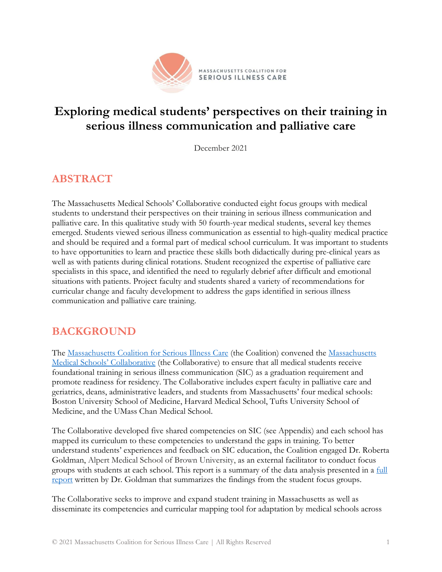

# **Exploring medical students' perspectives on their training in serious illness communication and palliative care**

December 2021

# **ABSTRACT**

The Massachusetts Medical Schools' Collaborative conducted eight focus groups with medical students to understand their perspectives on their training in serious illness communication and palliative care. In this qualitative study with 50 fourth-year medical students, several key themes emerged. Students viewed serious illness communication as essential to high-quality medical practice and should be required and a formal part of medical school curriculum. It was important to students to have opportunities to learn and practice these skills both didactically during pre-clinical years as well as with patients during clinical rotations. Student recognized the expertise of palliative care specialists in this space, and identified the need to regularly debrief after difficult and emotional situations with patients. Project faculty and students shared a variety of recommendations for curricular change and faculty development to address the gaps identified in serious illness communication and palliative care training.

# **BACKGROUND**

The [Massachusetts Coalition](http://www.maseriouscare.org/) for Serious Illness Care (the Coalition) convened the [Massachusetts](http://www.maseriouscare.org/medical-schools-collaborative)  [Medical Schools' Collaborative](http://www.maseriouscare.org/medical-schools-collaborative) (the Collaborative) to ensure that all medical students receive foundational training in serious illness communication (SIC) as a graduation requirement and promote readiness for residency. The Collaborative includes expert faculty in palliative care and geriatrics, deans, administrative leaders, and students from Massachusetts' four medical schools: Boston University School of Medicine, Harvard Medical School, Tufts University School of Medicine, and the UMass Chan Medical School.

The Collaborative developed five shared competencies on SIC (see Appendix) and each school has mapped its curriculum to these competencies to understand the gaps in training. To better understand students' experiences and feedback on SIC education, the Coalition engaged Dr. Roberta Goldman, Alpert Medical School of Brown University, as an external facilitator to conduct focus groups with students at each school. This report is a summary of the data analysis presented in a [full](https://www.maseriouscare.org/sites/g/files/csphws2336/files/2021-12/MCSIC%20Exploratory%20Qualitative%20Four%20School%20Focus%20Group%20Study%20Report.pdf) [report](https://www.maseriouscare.org/sites/g/files/csphws2336/files/2021-12/MCSIC%20Exploratory%20Qualitative%20Four%20School%20Focus%20Group%20Study%20Report.pdf) written by Dr. Goldman that summarizes the findings from the student focus groups.

The Collaborative seeks to improve and expand student training in Massachusetts as well as disseminate its competencies and curricular mapping tool for adaptation by medical schools across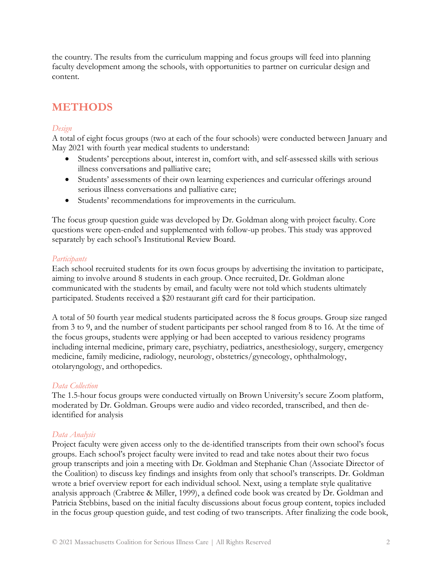the country. The results from the curriculum mapping and focus groups will feed into planning faculty development among the schools, with opportunities to partner on curricular design and content.

## **METHODS**

## *Design*

A total of eight focus groups (two at each of the four schools) were conducted between January and May 2021 with fourth year medical students to understand:

- Students' perceptions about, interest in, comfort with, and self-assessed skills with serious illness conversations and palliative care;
- Students' assessments of their own learning experiences and curricular offerings around serious illness conversations and palliative care;
- Students' recommendations for improvements in the curriculum.

The focus group question guide was developed by Dr. Goldman along with project faculty. Core questions were open-ended and supplemented with follow-up probes. This study was approved separately by each school's Institutional Review Board.

## *Participants*

Each school recruited students for its own focus groups by advertising the invitation to participate, aiming to involve around 8 students in each group. Once recruited, Dr. Goldman alone communicated with the students by email, and faculty were not told which students ultimately participated. Students received a \$20 restaurant gift card for their participation.

A total of 50 fourth year medical students participated across the 8 focus groups. Group size ranged from 3 to 9, and the number of student participants per school ranged from 8 to 16. At the time of the focus groups, students were applying or had been accepted to various residency programs including internal medicine, primary care, psychiatry, pediatrics, anesthesiology, surgery, emergency medicine, family medicine, radiology, neurology, obstetrics/gynecology, ophthalmology, otolaryngology, and orthopedics.

## *Data Collection*

The 1.5-hour focus groups were conducted virtually on Brown University's secure Zoom platform, moderated by Dr. Goldman. Groups were audio and video recorded, transcribed, and then deidentified for analysis

## *Data Analysis*

Project faculty were given access only to the de-identified transcripts from their own school's focus groups. Each school's project faculty were invited to read and take notes about their two focus group transcripts and join a meeting with Dr. Goldman and Stephanie Chan (Associate Director of the Coalition) to discuss key findings and insights from only that school's transcripts. Dr. Goldman wrote a brief overview report for each individual school. Next, using a template style qualitative analysis approach (Crabtree & Miller, 1999), a defined code book was created by Dr. Goldman and Patricia Stebbins, based on the initial faculty discussions about focus group content, topics included in the focus group question guide, and test coding of two transcripts. After finalizing the code book,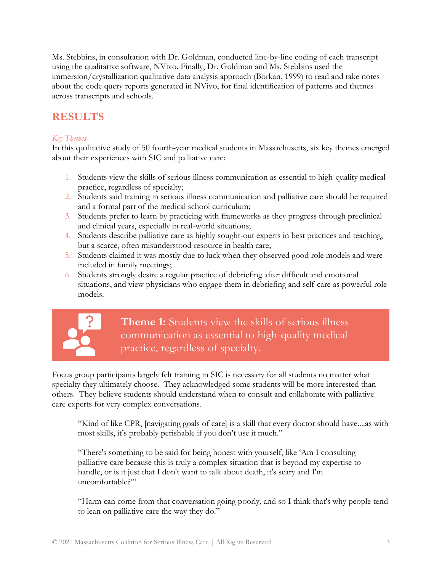Ms. Stebbins, in consultation with Dr. Goldman, conducted line-by-line coding of each transcript using the qualitative software, NVivo. Finally, Dr. Goldman and Ms. Stebbins used the immersion/crystallization qualitative data analysis approach (Borkan, 1999) to read and take notes about the code query reports generated in NVivo, for final identification of patterns and themes across transcripts and schools.

# **RESULTS**

## *Key Themes*

In this qualitative study of 50 fourth-year medical students in Massachusetts, six key themes emerged about their experiences with SIC and palliative care:

- 1. Students view the skills of serious illness communication as essential to high-quality medical practice, regardless of specialty;
- 2. Students said training in serious illness communication and palliative care should be required and a formal part of the medical school curriculum;
- 3. Students prefer to learn by practicing with frameworks as they progress through preclinical and clinical years, especially in real-world situations;
- 4. Students describe palliative care as highly sought-out experts in best practices and teaching, but a scarce, often misunderstood resource in health care;
- 5. Students claimed it was mostly due to luck when they observed good role models and were included in family meetings;
- 6. Students strongly desire a regular practice of debriefing after difficult and emotional situations, and view physicians who engage them in debriefing and self-care as powerful role models.



**Theme 1:** Students view the skills of serious illness communication as essential to high-quality medical practice, regardless of specialty.

Focus group participants largely felt training in SIC is necessary for all students no matter what specialty they ultimately choose. They acknowledged some students will be more interested than others. They believe students should understand when to consult and collaborate with palliative care experts for very complex conversations.

"Kind of like CPR, [navigating goals of care] is a skill that every doctor should have....as with most skills, it's probably perishable if you don't use it much."

"There's something to be said for being honest with yourself, like 'Am I consulting palliative care because this is truly a complex situation that is beyond my expertise to handle, or is it just that I don't want to talk about death, it's scary and I'm uncomfortable?"

"Harm can come from that conversation going poorly, and so I think that's why people tend to lean on palliative care the way they do."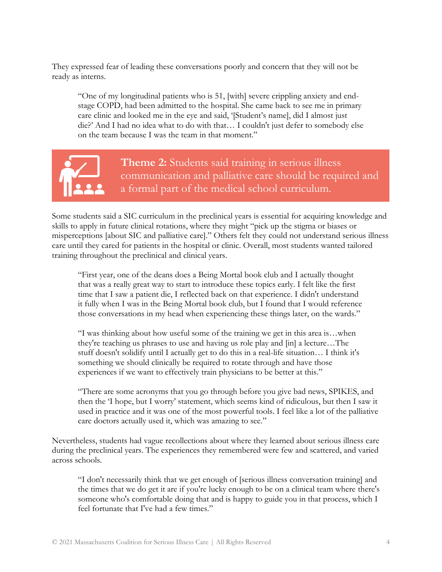They expressed fear of leading these conversations poorly and concern that they will not be ready as interns.

"One of my longitudinal patients who is 51, [with] severe crippling anxiety and endstage COPD, had been admitted to the hospital. She came back to see me in primary care clinic and looked me in the eye and said, '[Student's name], did I almost just die?' And I had no idea what to do with that… I couldn't just defer to somebody else on the team because I was the team in that moment."



**Theme 2:** Students said training in serious illness communication and palliative care should be required and a formal part of the medical school curriculum.

Some students said a SIC curriculum in the preclinical years is essential for acquiring knowledge and skills to apply in future clinical rotations, where they might "pick up the stigma or biases or misperceptions [about SIC and palliative care]." Others felt they could not understand serious illness care until they cared for patients in the hospital or clinic. Overall, most students wanted tailored training throughout the preclinical and clinical years.

"First year, one of the deans does a Being Mortal book club and I actually thought that was a really great way to start to introduce these topics early. I felt like the first time that I saw a patient die, I reflected back on that experience. I didn't understand it fully when I was in the Being Mortal book club, but I found that I would reference those conversations in my head when experiencing these things later, on the wards."

"I was thinking about how useful some of the training we get in this area is…when they're teaching us phrases to use and having us role play and [in] a lecture…The stuff doesn't solidify until I actually get to do this in a real-life situation… I think it's something we should clinically be required to rotate through and have those experiences if we want to effectively train physicians to be better at this."

"There are some acronyms that you go through before you give bad news, SPIKES, and then the 'I hope, but I worry' statement, which seems kind of ridiculous, but then I saw it used in practice and it was one of the most powerful tools. I feel like a lot of the palliative care doctors actually used it, which was amazing to see."

Nevertheless, students had vague recollections about where they learned about serious illness care during the preclinical years. The experiences they remembered were few and scattered, and varied across schools.

"I don't necessarily think that we get enough of [serious illness conversation training] and the times that we do get it are if you're lucky enough to be on a clinical team where there's someone who's comfortable doing that and is happy to guide you in that process, which I feel fortunate that I've had a few times."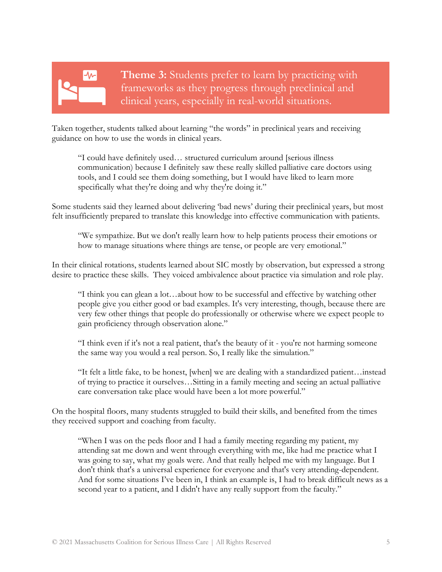# ∿∼

**Theme 3:** Students prefer to learn by practicing with frameworks as they progress through preclinical and clinical years, especially in real-world situations.

Taken together, students talked about learning "the words" in preclinical years and receiving guidance on how to use the words in clinical years.

"I could have definitely used… structured curriculum around [serious illness communication) because I definitely saw these really skilled palliative care doctors using tools, and I could see them doing something, but I would have liked to learn more specifically what they're doing and why they're doing it."

Some students said they learned about delivering 'bad news' during their preclinical years, but most felt insufficiently prepared to translate this knowledge into effective communication with patients.

"We sympathize. But we don't really learn how to help patients process their emotions or how to manage situations where things are tense, or people are very emotional."

In their clinical rotations, students learned about SIC mostly by observation, but expressed a strong desire to practice these skills. They voiced ambivalence about practice via simulation and role play.

"I think you can glean a lot…about how to be successful and effective by watching other people give you either good or bad examples. It's very interesting, though, because there are very few other things that people do professionally or otherwise where we expect people to gain proficiency through observation alone."

"I think even if it's not a real patient, that's the beauty of it - you're not harming someone the same way you would a real person. So, I really like the simulation."

"It felt a little fake, to be honest, [when] we are dealing with a standardized patient…instead of trying to practice it ourselves…Sitting in a family meeting and seeing an actual palliative care conversation take place would have been a lot more powerful."

On the hospital floors, many students struggled to build their skills, and benefited from the times they received support and coaching from faculty.

"When I was on the peds floor and I had a family meeting regarding my patient, my attending sat me down and went through everything with me, like had me practice what I was going to say, what my goals were. And that really helped me with my language. But I don't think that's a universal experience for everyone and that's very attending-dependent. And for some situations I've been in, I think an example is, I had to break difficult news as a second year to a patient, and I didn't have any really support from the faculty."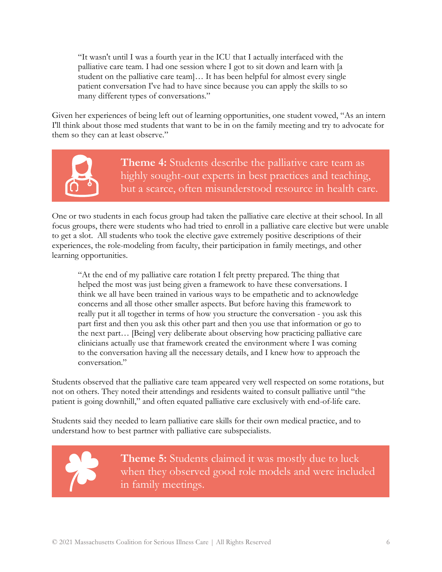"It wasn't until I was a fourth year in the ICU that I actually interfaced with the palliative care team. I had one session where I got to sit down and learn with [a student on the palliative care team]… It has been helpful for almost every single patient conversation I've had to have since because you can apply the skills to so many different types of conversations."

Given her experiences of being left out of learning opportunities, one student vowed, "As an intern I'll think about those med students that want to be in on the family meeting and try to advocate for them so they can at least observe."



**Theme 4:** Students describe the palliative care team as highly sought-out experts in best practices and teaching, but a scarce, often misunderstood resource in health care.

One or two students in each focus group had taken the palliative care elective at their school. In all focus groups, there were students who had tried to enroll in a palliative care elective but were unable to get a slot. All students who took the elective gave extremely positive descriptions of their experiences, the role-modeling from faculty, their participation in family meetings, and other learning opportunities.

"At the end of my palliative care rotation I felt pretty prepared. The thing that helped the most was just being given a framework to have these conversations. I think we all have been trained in various ways to be empathetic and to acknowledge concerns and all those other smaller aspects. But before having this framework to really put it all together in terms of how you structure the conversation - you ask this part first and then you ask this other part and then you use that information or go to the next part… [Being] very deliberate about observing how practicing palliative care clinicians actually use that framework created the environment where I was coming to the conversation having all the necessary details, and I knew how to approach the conversation."

Students observed that the palliative care team appeared very well respected on some rotations, but not on others. They noted their attendings and residents waited to consult palliative until "the patient is going downhill," and often equated palliative care exclusively with end-of-life care.

Students said they needed to learn palliative care skills for their own medical practice, and to understand how to best partner with palliative care subspecialists.

> **Theme 5:** Students claimed it was mostly due to luck when they observed good role models and were included in family meetings.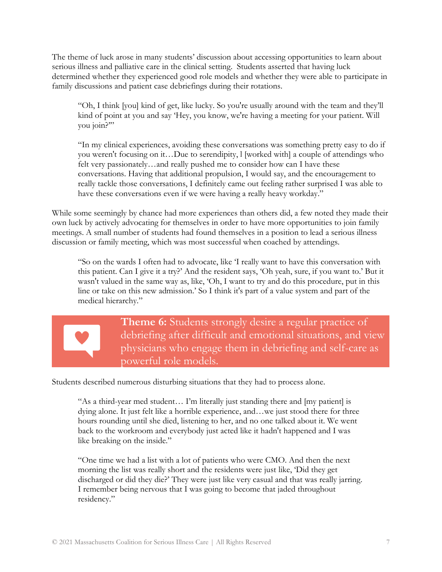The theme of luck arose in many students' discussion about accessing opportunities to learn about serious illness and palliative care in the clinical setting. Students asserted that having luck determined whether they experienced good role models and whether they were able to participate in family discussions and patient case debriefings during their rotations.

"Oh, I think [you] kind of get, like lucky. So you're usually around with the team and they'll kind of point at you and say 'Hey, you know, we're having a meeting for your patient. Will you join?'"

"In my clinical experiences, avoiding these conversations was something pretty easy to do if you weren't focusing on it…Due to serendipity, l [worked with] a couple of attendings who felt very passionately…and really pushed me to consider how can I have these conversations. Having that additional propulsion, I would say, and the encouragement to really tackle those conversations, I definitely came out feeling rather surprised I was able to have these conversations even if we were having a really heavy workday."

While some seemingly by chance had more experiences than others did, a few noted they made their own luck by actively advocating for themselves in order to have more opportunities to join family meetings. A small number of students had found themselves in a position to lead a serious illness discussion or family meeting, which was most successful when coached by attendings.

"So on the wards I often had to advocate, like 'I really want to have this conversation with this patient. Can I give it a try?' And the resident says, 'Oh yeah, sure, if you want to.' But it wasn't valued in the same way as, like, 'Oh, I want to try and do this procedure, put in this line or take on this new admission.' So I think it's part of a value system and part of the medical hierarchy."



**Theme 6:** Students strongly desire a regular practice of debriefing after difficult and emotional situations, and view physicians who engage them in debriefing and self-care as powerful role models.

Students described numerous disturbing situations that they had to process alone.

"As a third-year med student… I'm literally just standing there and [my patient] is dying alone. It just felt like a horrible experience, and…we just stood there for three hours rounding until she died, listening to her, and no one talked about it. We went back to the workroom and everybody just acted like it hadn't happened and I was like breaking on the inside."

"One time we had a list with a lot of patients who were CMO. And then the next morning the list was really short and the residents were just like, 'Did they get discharged or did they die?' They were just like very casual and that was really jarring. I remember being nervous that I was going to become that jaded throughout residency."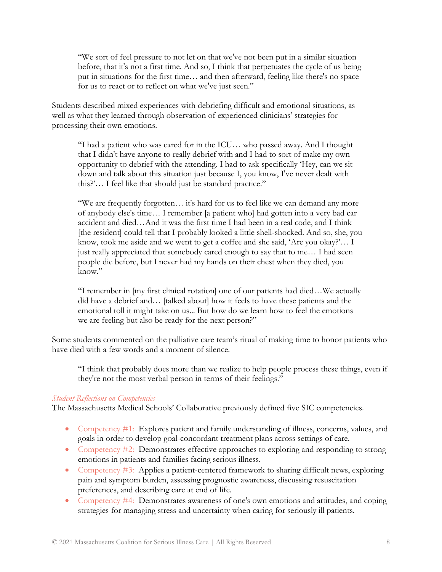"We sort of feel pressure to not let on that we've not been put in a similar situation before, that it's not a first time. And so, I think that perpetuates the cycle of us being put in situations for the first time… and then afterward, feeling like there's no space for us to react or to reflect on what we've just seen."

Students described mixed experiences with debriefing difficult and emotional situations, as well as what they learned through observation of experienced clinicians' strategies for processing their own emotions.

"I had a patient who was cared for in the ICU… who passed away. And I thought that I didn't have anyone to really debrief with and I had to sort of make my own opportunity to debrief with the attending. I had to ask specifically 'Hey, can we sit down and talk about this situation just because I, you know, I've never dealt with this?'… I feel like that should just be standard practice."

"We are frequently forgotten… it's hard for us to feel like we can demand any more of anybody else's time… I remember [a patient who] had gotten into a very bad car accident and died…And it was the first time I had been in a real code, and I think [the resident] could tell that I probably looked a little shell-shocked. And so, she, you know, took me aside and we went to get a coffee and she said, 'Are you okay?'… I just really appreciated that somebody cared enough to say that to me… I had seen people die before, but I never had my hands on their chest when they died, you know."

"I remember in [my first clinical rotation] one of our patients had died…We actually did have a debrief and… [talked about] how it feels to have these patients and the emotional toll it might take on us... But how do we learn how to feel the emotions we are feeling but also be ready for the next person?"

Some students commented on the palliative care team's ritual of making time to honor patients who have died with a few words and a moment of silence.

"I think that probably does more than we realize to help people process these things, even if they're not the most verbal person in terms of their feelings."

#### *Student Reflections on Competencies*

The Massachusetts Medical Schools' Collaborative previously defined five SIC competencies.

- Competency #1: Explores patient and family understanding of illness, concerns, values, and goals in order to develop goal-concordant treatment plans across settings of care.
- Competency #2: Demonstrates effective approaches to exploring and responding to strong emotions in patients and families facing serious illness.
- Competency #3: Applies a patient-centered framework to sharing difficult news, exploring pain and symptom burden, assessing prognostic awareness, discussing resuscitation preferences, and describing care at end of life.
- Competency #4: Demonstrates awareness of one's own emotions and attitudes, and coping strategies for managing stress and uncertainty when caring for seriously ill patients.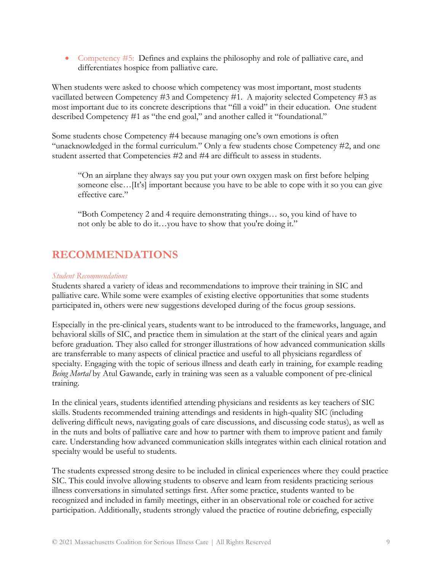• Competency  $#5$ : Defines and explains the philosophy and role of palliative care, and differentiates hospice from palliative care.

When students were asked to choose which competency was most important, most students vacillated between Competency #3 and Competency #1. A majority selected Competency #3 as most important due to its concrete descriptions that "fill a void" in their education. One student described Competency #1 as "the end goal," and another called it "foundational."

Some students chose Competency #4 because managing one's own emotions is often "unacknowledged in the formal curriculum." Only a few students chose Competency #2, and one student asserted that Competencies #2 and #4 are difficult to assess in students.

"On an airplane they always say you put your own oxygen mask on first before helping someone else...[It's] important because you have to be able to cope with it so you can give effective care."

"Both Competency 2 and 4 require demonstrating things… so, you kind of have to not only be able to do it…you have to show that you're doing it."

# **RECOMMENDATIONS**

#### *Student Recommendations*

Students shared a variety of ideas and recommendations to improve their training in SIC and palliative care. While some were examples of existing elective opportunities that some students participated in, others were new suggestions developed during of the focus group sessions.

Especially in the pre-clinical years, students want to be introduced to the frameworks, language, and behavioral skills of SIC, and practice them in simulation at the start of the clinical years and again before graduation. They also called for stronger illustrations of how advanced communication skills are transferrable to many aspects of clinical practice and useful to all physicians regardless of specialty. Engaging with the topic of serious illness and death early in training, for example reading *Being Mortal* by Atul Gawande, early in training was seen as a valuable component of pre-clinical training.

In the clinical years, students identified attending physicians and residents as key teachers of SIC skills. Students recommended training attendings and residents in high-quality SIC (including delivering difficult news, navigating goals of care discussions, and discussing code status), as well as in the nuts and bolts of palliative care and how to partner with them to improve patient and family care. Understanding how advanced communication skills integrates within each clinical rotation and specialty would be useful to students.

The students expressed strong desire to be included in clinical experiences where they could practice SIC. This could involve allowing students to observe and learn from residents practicing serious illness conversations in simulated settings first. After some practice, students wanted to be recognized and included in family meetings, either in an observational role or coached for active participation. Additionally, students strongly valued the practice of routine debriefing, especially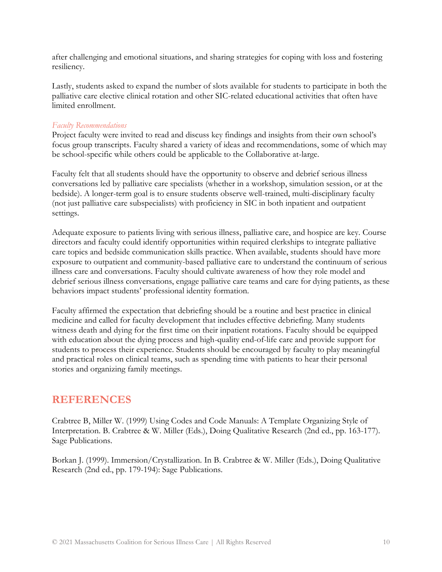after challenging and emotional situations, and sharing strategies for coping with loss and fostering resiliency.

Lastly, students asked to expand the number of slots available for students to participate in both the palliative care elective clinical rotation and other SIC-related educational activities that often have limited enrollment.

## *Faculty Recommendations*

Project faculty were invited to read and discuss key findings and insights from their own school's focus group transcripts. Faculty shared a variety of ideas and recommendations, some of which may be school-specific while others could be applicable to the Collaborative at-large.

Faculty felt that all students should have the opportunity to observe and debrief serious illness conversations led by palliative care specialists (whether in a workshop, simulation session, or at the bedside). A longer-term goal is to ensure students observe well-trained, multi-disciplinary faculty (not just palliative care subspecialists) with proficiency in SIC in both inpatient and outpatient settings.

Adequate exposure to patients living with serious illness, palliative care, and hospice are key. Course directors and faculty could identify opportunities within required clerkships to integrate palliative care topics and bedside communication skills practice. When available, students should have more exposure to outpatient and community-based palliative care to understand the continuum of serious illness care and conversations. Faculty should cultivate awareness of how they role model and debrief serious illness conversations, engage palliative care teams and care for dying patients, as these behaviors impact students' professional identity formation.

Faculty affirmed the expectation that debriefing should be a routine and best practice in clinical medicine and called for faculty development that includes effective debriefing. Many students witness death and dying for the first time on their inpatient rotations. Faculty should be equipped with education about the dying process and high-quality end-of-life care and provide support for students to process their experience. Students should be encouraged by faculty to play meaningful and practical roles on clinical teams, such as spending time with patients to hear their personal stories and organizing family meetings.

## **REFERENCES**

Crabtree B, Miller W. (1999) Using Codes and Code Manuals: A Template Organizing Style of Interpretation. B. Crabtree & W. Miller (Eds.), Doing Qualitative Research (2nd ed., pp. 163-177). Sage Publications.

Borkan J. (1999). Immersion/Crystallization. In B. Crabtree & W. Miller (Eds.), Doing Qualitative Research (2nd ed., pp. 179-194): Sage Publications.